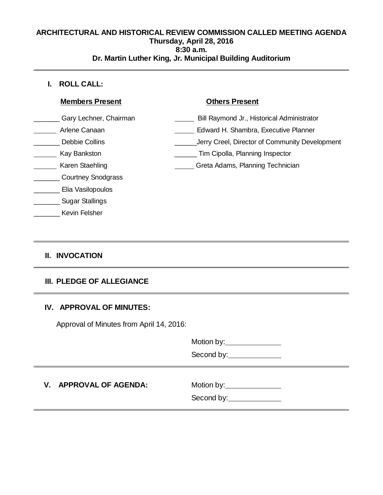### **ARCHITECTURAL AND HISTORICAL REVIEW COMMISSION CALLED MEETING AGENDA Thursday, April 28, 2016 8:30 a.m. Dr. Martin Luther King, Jr. Municipal Building Auditorium**

 **I. ROLL CALL:**

| <b>Members Present</b>    | <b>Others Present</b>                          |
|---------------------------|------------------------------------------------|
| Gary Lechner, Chairman    | Bill Raymond Jr., Historical Administrator     |
| Arlene Canaan             | Edward H. Shambra, Executive Planner           |
| Debbie Collins            | Jerry Creel, Director of Community Development |
| Kay Bankston              | Tim Cipolla, Planning Inspector                |
| Karen Staehling           | Greta Adams, Planning Technician               |
| <b>Courtney Snodgrass</b> |                                                |
| Elia Vasilopoulos         |                                                |
| <b>Sugar Stallings</b>    |                                                |
| Kevin Felsher             |                                                |

# **II. INVOCATION**

# **III. PLEDGE OF ALLEGIANCE**

## **IV. APPROVAL OF MINUTES:**

Approval of Minutes from April 14, 2016:

Motion by:

Second by:\_\_\_\_\_\_\_\_\_\_\_\_\_\_\_

# **V.** APPROVAL OF AGENDA: Motion by: Motion by:

Second by: <u>containing</u>